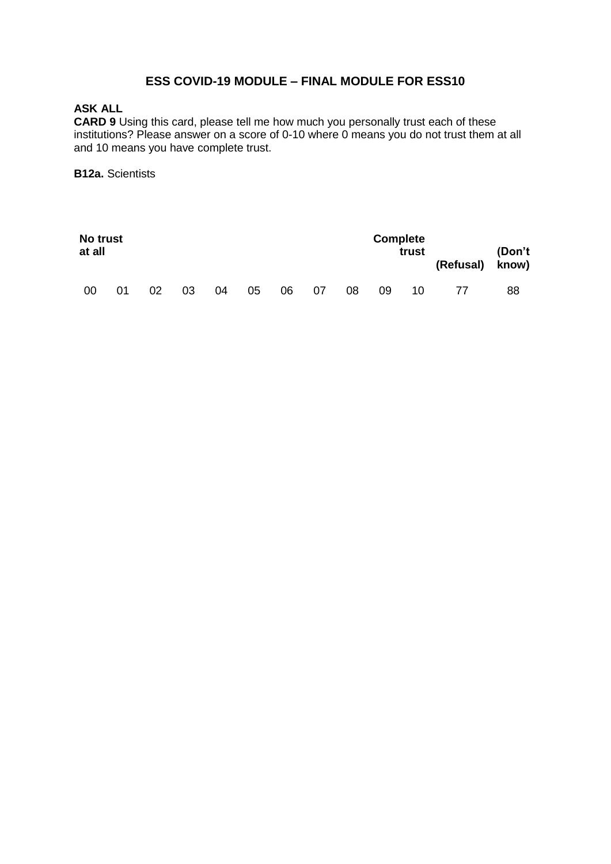## **ESS COVID-19 MODULE – FINAL MODULE FOR ESS10**

# **ASK ALL**

**CARD 9** Using this card, please tell me how much you personally trust each of these institutions? Please answer on a score of 0-10 where 0 means you do not trust them at all and 10 means you have complete trust.

#### **B12a.** Scientists

| at all | No trust |    |    |    |    |    |    |    | <b>Complete</b> | trust | (Refusal) know) | (Don't |
|--------|----------|----|----|----|----|----|----|----|-----------------|-------|-----------------|--------|
| 00     | 01       | 02 | 03 | 04 | 05 | 06 | 07 | 08 | 09              | 10    | 77              | 88     |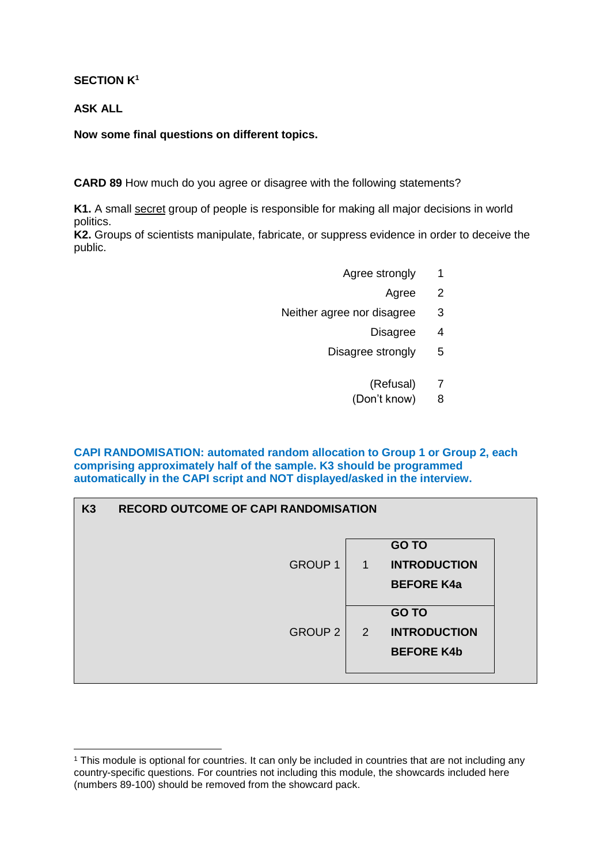**SECTION K<sup>1</sup>**

**ASK ALL**

 $\overline{a}$ 

**Now some final questions on different topics.**

**CARD 89** How much do you agree or disagree with the following statements?

**K1.** A small secret group of people is responsible for making all major decisions in world politics.

**K2.** Groups of scientists manipulate, fabricate, or suppress evidence in order to deceive the public.

- Agree strongly 1
	- Agree 2
- Neither agree nor disagree 3
	- Disagree 4
	- Disagree strongly 5
		- (Refusal) 7
		- (Don't know) 8

**CAPI RANDOMISATION: automated random allocation to Group 1 or Group 2, each comprising approximately half of the sample. K3 should be programmed automatically in the CAPI script and NOT displayed/asked in the interview.**

| K3 | <b>RECORD OUTCOME OF CAPI RANDOMISATION</b> |              |                                                          |  |
|----|---------------------------------------------|--------------|----------------------------------------------------------|--|
|    | <b>GROUP 1</b>                              | $\mathbf{1}$ | <b>GO TO</b><br><b>INTRODUCTION</b><br><b>BEFORE K4a</b> |  |
|    | <b>GROUP 2</b>                              | $\sqrt{2}$   | <b>GO TO</b><br><b>INTRODUCTION</b><br><b>BEFORE K4b</b> |  |

<sup>1</sup> This module is optional for countries. It can only be included in countries that are not including any country-specific questions. For countries not including this module, the showcards included here (numbers 89-100) should be removed from the showcard pack.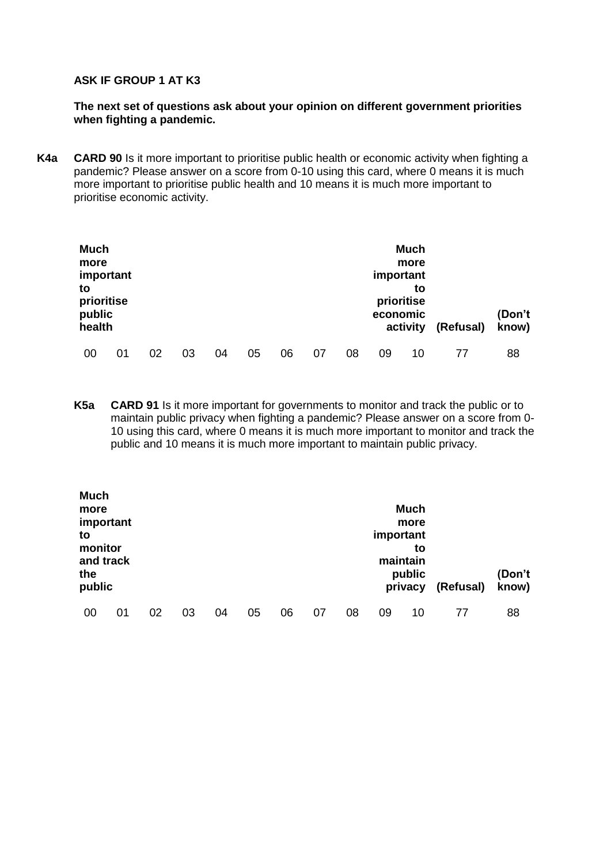#### **ASK IF GROUP 1 AT K3**

#### **The next set of questions ask about your opinion on different government priorities when fighting a pandemic.**

**K4a CARD 90** Is it more important to prioritise public health or economic activity when fighting a pandemic? Please answer on a score from 0-10 using this card, where 0 means it is much more important to prioritise public health and 10 means it is much more important to prioritise economic activity.

| <b>Much</b><br>more<br>important<br>to<br>prioritise<br>public<br>health |    |    |    |    |    |    |    |    | important<br>economic | <b>Much</b><br>more<br>to<br>prioritise<br>activity | (Refusal) | (Don't<br>know) |
|--------------------------------------------------------------------------|----|----|----|----|----|----|----|----|-----------------------|-----------------------------------------------------|-----------|-----------------|
| 00                                                                       | 01 | 02 | 03 | 04 | 05 | 06 | 07 | 08 | 09                    | 10                                                  |           | 88              |

**K5a CARD 91** Is it more important for governments to monitor and track the public or to maintain public privacy when fighting a pandemic? Please answer on a score from 0- 10 using this card, where 0 means it is much more important to monitor and track the public and 10 means it is much more important to maintain public privacy.

| <b>Much</b><br>more<br>important<br>to<br>monitor<br>and track<br>the<br>public |    |    |    |    |    |    |    |    | important | <b>Much</b><br>more<br>to<br>maintain<br>public<br>privacy | (Refusal) | (Don't<br>know) |
|---------------------------------------------------------------------------------|----|----|----|----|----|----|----|----|-----------|------------------------------------------------------------|-----------|-----------------|
| 00                                                                              | 01 | 02 | 03 | 04 | 05 | 06 | 07 | 08 | 09        | 10                                                         | 77        | 88              |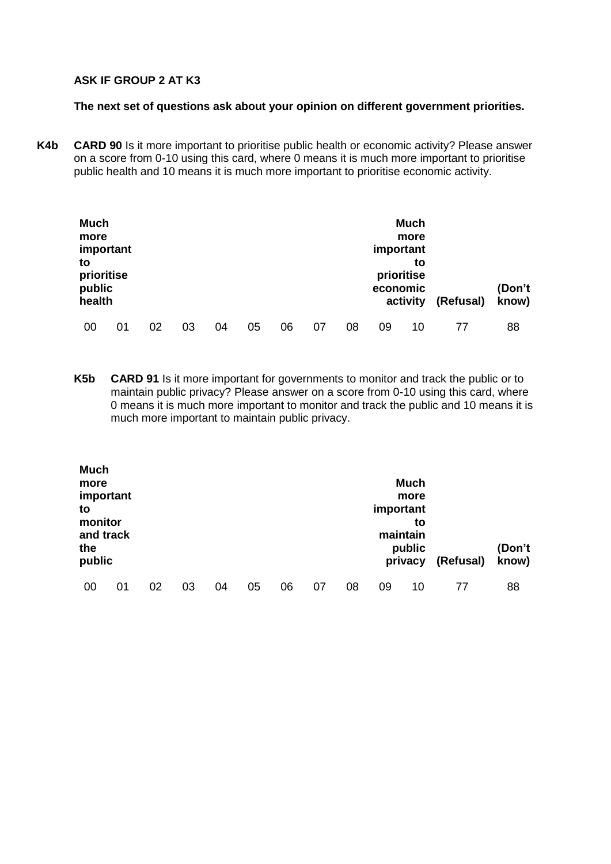### **ASK IF GROUP 2 AT K3**

#### **The next set of questions ask about your opinion on different government priorities.**

**K4b CARD 90** Is it more important to prioritise public health or economic activity? Please answer on a score from 0-10 using this card, where 0 means it is much more important to prioritise public health and 10 means it is much more important to prioritise economic activity.

| <b>Much</b><br>more<br>important<br>to<br>prioritise<br>public<br>health |    |    |    |    |    |    |    |    | important<br>economic | <b>Much</b><br>more<br>to<br>prioritise<br>activity | (Refusal) | (Don't<br>know) |
|--------------------------------------------------------------------------|----|----|----|----|----|----|----|----|-----------------------|-----------------------------------------------------|-----------|-----------------|
| 00                                                                       | 01 | 02 | 03 | 04 | 05 | 06 | 07 | 08 | 09                    | 10                                                  |           | 88              |

**K5b CARD 91** Is it more important for governments to monitor and track the public or to maintain public privacy? Please answer on a score from 0-10 using this card, where 0 means it is much more important to monitor and track the public and 10 means it is much more important to maintain public privacy.

| <b>Much</b><br>more<br>important<br>to<br>monitor<br>and track<br>the |    |    |    |    |    |    |    |    | important | <b>Much</b><br>more<br>to<br>maintain<br>public |           | (Don't |
|-----------------------------------------------------------------------|----|----|----|----|----|----|----|----|-----------|-------------------------------------------------|-----------|--------|
| public                                                                |    |    |    |    |    |    |    |    |           | privacy                                         | (Refusal) | know)  |
| 00                                                                    | 01 | 02 | 03 | 04 | 05 | 06 | 07 | 08 | 09        | 10                                              | 77        | 88     |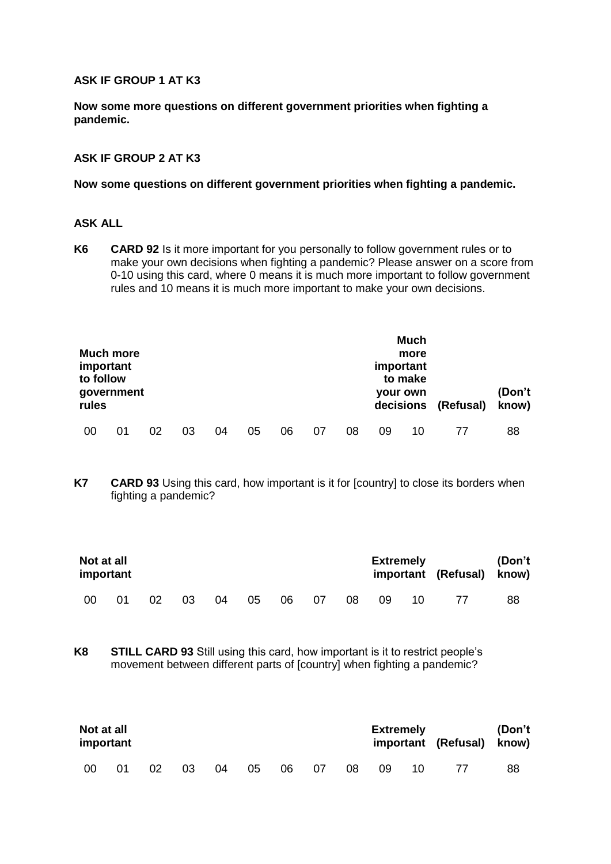#### **ASK IF GROUP 1 AT K3**

**Now some more questions on different government priorities when fighting a pandemic.**

#### **ASK IF GROUP 2 AT K3**

#### **Now some questions on different government priorities when fighting a pandemic.**

## **ASK ALL**

**K6 CARD 92** Is it more important for you personally to follow government rules or to make your own decisions when fighting a pandemic? Please answer on a score from 0-10 using this card, where 0 means it is much more important to follow government rules and 10 means it is much more important to make your own decisions.

| <b>Much more</b><br>important<br>to follow<br>government<br>rules |    |    |    |    |    |    |    |    | important | <b>Much</b><br>more<br>to make<br><b>your own</b><br>decisions | (Refusal) | (Don't<br>know) |
|-------------------------------------------------------------------|----|----|----|----|----|----|----|----|-----------|----------------------------------------------------------------|-----------|-----------------|
| 00                                                                | 01 | 02 | 03 | 04 | 05 | 06 | 07 | 08 | 09        | 10                                                             |           | 88              |

**K7 CARD 93** Using this card, how important is it for [country] to close its borders when fighting a pandemic?

|     | Not at all<br>important |    |    |    |    |     |     |    | <b>Extremely</b> |    | important (Refusal) know) | (Don't |
|-----|-------------------------|----|----|----|----|-----|-----|----|------------------|----|---------------------------|--------|
| -00 | 01                      | 02 | 03 | 04 | 05 | -06 | -07 | 08 | 09               | 10 |                           | 88     |

**K8 STILL CARD 93** Still using this card, how important is it to restrict people's movement between different parts of [country] when fighting a pandemic?

| Not at all<br>important |    |    |    |    |    |    |    |    | <b>Extremely</b> |    | important (Refusal) know) | (Don't |
|-------------------------|----|----|----|----|----|----|----|----|------------------|----|---------------------------|--------|
| - 00                    | 01 | 02 | 03 | 04 | 05 | 06 | 07 | 08 | 09               | 10 |                           | 88     |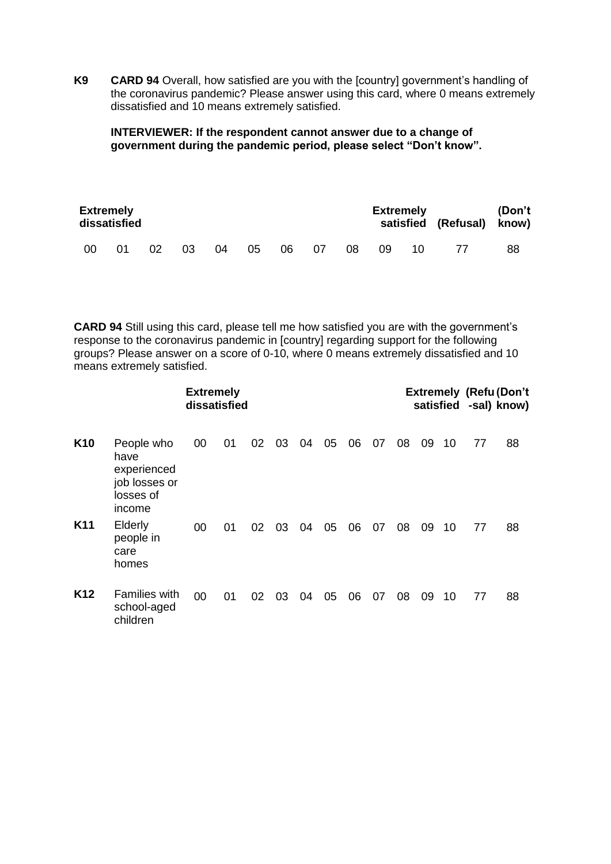**K9 CARD 94** Overall, how satisfied are you with the [country] government's handling of the coronavirus pandemic? Please answer using this card, where 0 means extremely dissatisfied and 10 means extremely satisfied.

**INTERVIEWER: If the respondent cannot answer due to a change of government during the pandemic period, please select "Don't know".**

|    | <b>Extremely</b><br>dissatisfied |    |    |    |    |      |     |     |    | <b>Extremely</b> | satisfied (Refusal) know) | (Don't |
|----|----------------------------------|----|----|----|----|------|-----|-----|----|------------------|---------------------------|--------|
| 00 | 01                               | 02 | 03 | 04 | 05 | 06 — | -07 | -08 | 09 | 10 I             |                           | 88     |

**CARD 94** Still using this card, please tell me how satisfied you are with the government's response to the coronavirus pandemic in [country] regarding support for the following groups? Please answer on a score of 0-10, where 0 means extremely dissatisfied and 10 means extremely satisfied.

|                 |                                                                           |    |    |    |    | <b>Extremely (Refu (Don't</b><br>satisfied -sal) know) |    |    |    |    |    |    |    |    |
|-----------------|---------------------------------------------------------------------------|----|----|----|----|--------------------------------------------------------|----|----|----|----|----|----|----|----|
| K <sub>10</sub> | People who<br>have<br>experienced<br>job losses or<br>losses of<br>income | 00 | 01 | 02 | 03 | 04                                                     | 05 | 06 | 07 | 08 | 09 | 10 | 77 | 88 |
| K <sub>11</sub> | Elderly<br>people in<br>care<br>homes                                     | 00 | 01 | 02 | 03 | 04                                                     | 05 | 06 | 07 | 08 | 09 | 10 | 77 | 88 |
| K <sub>12</sub> | <b>Families with</b><br>school-aged<br>children                           | 00 | 01 | 02 | 03 | 04                                                     | 05 | 06 | 07 | 08 | 09 | 10 | 77 | 88 |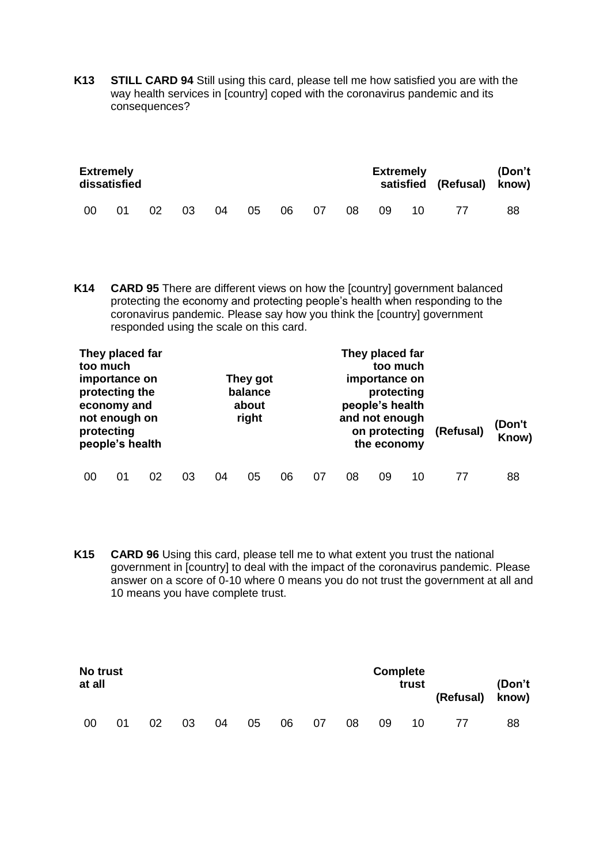**K13 STILL CARD 94** Still using this card, please tell me how satisfied you are with the way health services in [country] coped with the coronavirus pandemic and its consequences?

| <b>Extremely</b><br>dissatisfied |    |    |    |    |    |    |     | <b>Extremely</b> |    | satisfied (Refusal) know) | (Don't |    |
|----------------------------------|----|----|----|----|----|----|-----|------------------|----|---------------------------|--------|----|
| 00                               | 01 | 02 | 03 | 04 | 05 | 06 | -07 | 08               | 09 | 10                        |        | 88 |

**K14 CARD 95** There are different views on how the [country] government balanced protecting the economy and protecting people's health when responding to the coronavirus pandemic. Please say how you think the [country] government responded using the scale on this card.

| too much | They placed far<br>importance on<br>protecting the<br>economy and<br>not enough on<br>protecting<br>people's health |    |    | They got<br>balance<br>about<br>right |    |    |    |    | They placed far<br>too much<br>importance on<br>protecting<br>people's health<br>and not enough<br>on protecting<br>the economy |    | (Refusal) | (Don't<br>Know) |
|----------|---------------------------------------------------------------------------------------------------------------------|----|----|---------------------------------------|----|----|----|----|---------------------------------------------------------------------------------------------------------------------------------|----|-----------|-----------------|
| 00       | ი1                                                                                                                  | በ2 | 03 | 04                                    | 05 | 06 | 07 | 08 | 09                                                                                                                              | 10 |           | 88              |

**K15 CARD 96** Using this card, please tell me to what extent you trust the national government in [country] to deal with the impact of the coronavirus pandemic. Please answer on a score of 0-10 where 0 means you do not trust the government at all and 10 means you have complete trust.

| No trust<br>at all |    |    |    |    |    |    |    |    | <b>Complete</b> | trust | (Refusal) know) | (Don't |
|--------------------|----|----|----|----|----|----|----|----|-----------------|-------|-----------------|--------|
| 00                 | 01 | 02 | 03 | 04 | 05 | 06 | 07 | 08 | 09              | 10    |                 | 88     |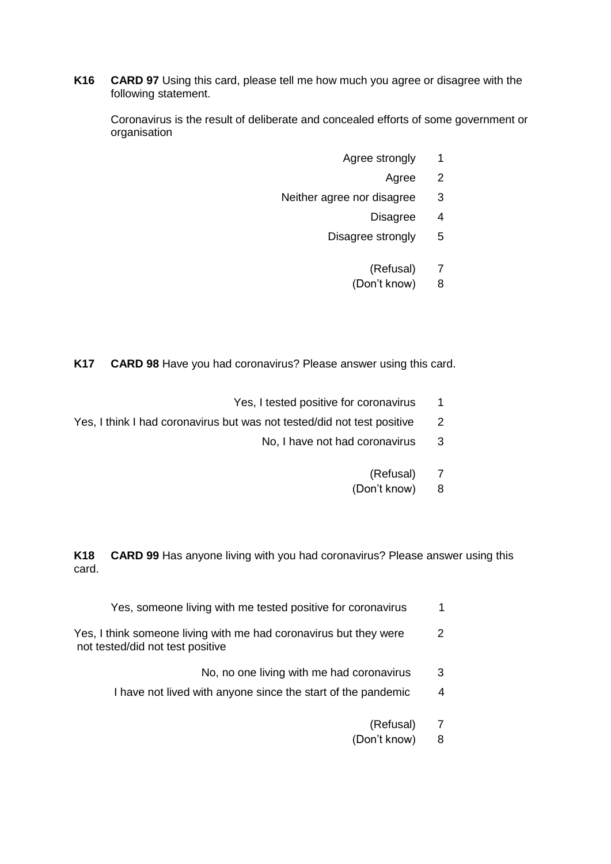**K16 CARD 97** Using this card, please tell me how much you agree or disagree with the following statement.

Coronavirus is the result of deliberate and concealed efforts of some government or organisation

- Agree strongly 1
	- Agree 2
- Neither agree nor disagree 3
	- Disagree 4
	- Disagree strongly 5
		- (Refusal) 7
		- (Don't know) 8

**K17 CARD 98** Have you had coronavirus? Please answer using this card.

- Yes, I tested positive for coronavirus 1
- Yes, I think I had coronavirus but was not tested/did not test positive 2
	- No, I have not had coronavirus 3
		- (Refusal) 7
		- (Don't know) 8

**K18 CARD 99** Has anyone living with you had coronavirus? Please answer using this card.

- Yes, someone living with me tested positive for coronavirus 1
- Yes, I think someone living with me had coronavirus but they were 2 not tested/did not test positive
	- No, no one living with me had coronavirus 3
	- I have not lived with anyone since the start of the pandemic 4
		- (Refusal) 7
		- (Don't know) 8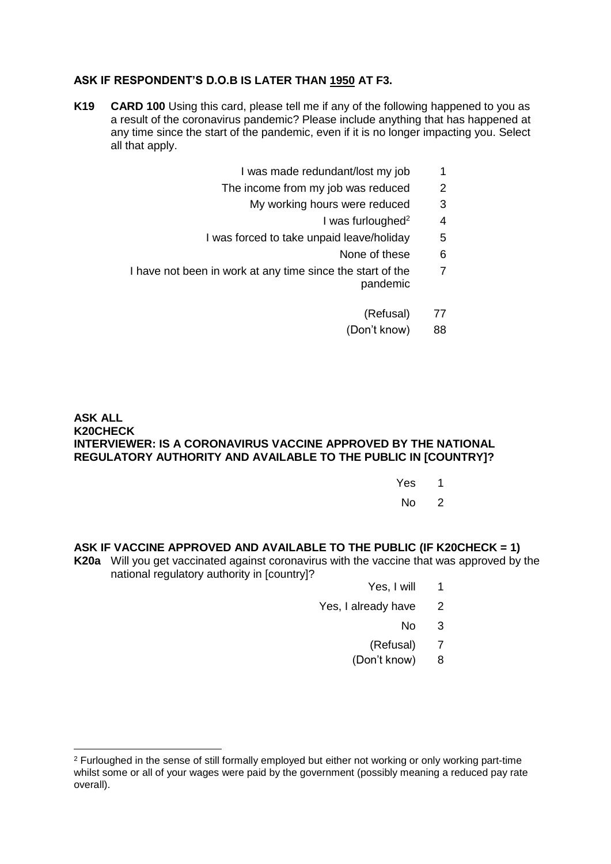## **ASK IF RESPONDENT'S D.O.B IS LATER THAN 1950 AT F3.**

- **K19 CARD 100** Using this card, please tell me if any of the following happened to you as a result of the coronavirus pandemic? Please include anything that has happened at any time since the start of the pandemic, even if it is no longer impacting you. Select all that apply.
	- I was made redundant/lost my job 1
	- The income from my job was reduced 2
		- My working hours were reduced 3
			- I was furloughed $2^2$  4
	- I was forced to take unpaid leave/holiday 5
		- None of these 6
	- I have not been in work at any time since the start of the pandemic 7
		- (Refusal) 77
		- (Don't know) 88

## **ASK ALL K20CHECK INTERVIEWER: IS A CORONAVIRUS VACCINE APPROVED BY THE NATIONAL REGULATORY AUTHORITY AND AVAILABLE TO THE PUBLIC IN [COUNTRY]?**

- Yes 1
	- $N_0$  2

## **ASK IF VACCINE APPROVED AND AVAILABLE TO THE PUBLIC (IF K20CHECK = 1)**

- **K20a** Will you get vaccinated against coronavirus with the vaccine that was approved by the national regulatory authority in [country]?
	- Yes, I will 1
	- Yes, I already have 2
		- $No<sub>3</sub>$
		- (Refusal) 7
		- (Don't know) 8

 $\overline{a}$ 

<sup>2</sup> Furloughed in the sense of still formally employed but either not working or only working part-time whilst some or all of your wages were paid by the government (possibly meaning a reduced pay rate overall).